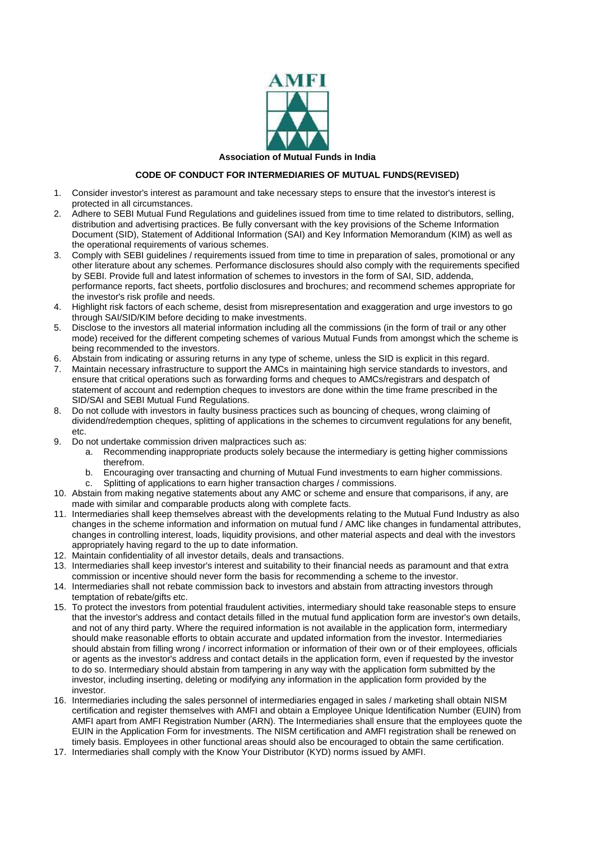

**Association of Mutual Funds in India**

## **CODE OF CONDUCT FOR INTERMEDIARIES OF MUTUAL FUNDS(REVISED)**

- 1. Consider investor's interest as paramount and take necessary steps to ensure that the investor's interest is protected in all circumstances.
- 2. Adhere to SEBI Mutual Fund Regulations and guidelines issued from time to time related to distributors, selling, distribution and advertising practices. Be fully conversant with the key provisions of the Scheme Information Document (SID), Statement of Additional Information (SAI) and Key Information Memorandum (KIM) as well as the operational requirements of various schemes.
- 3. Comply with SEBI guidelines / requirements issued from time to time in preparation of sales, promotional or any other literature about any schemes. Performance disclosures should also comply with the requirements specified by SEBI. Provide full and latest information of schemes to investors in the form of SAI, SID, addenda, performance reports, fact sheets, portfolio disclosures and brochures; and recommend schemes appropriate for the investor's risk profile and needs.
- 4. Highlight risk factors of each scheme, desist from misrepresentation and exaggeration and urge investors to go through SAI/SID/KIM before deciding to make investments.
- 5. Disclose to the investors all material information including all the commissions (in the form of trail or any other mode) received for the different competing schemes of various Mutual Funds from amongst which the scheme is being recommended to the investors.
- 6. Abstain from indicating or assuring returns in any type of scheme, unless the SID is explicit in this regard.
- 7. Maintain necessary infrastructure to support the AMCs in maintaining high service standards to investors, and ensure that critical operations such as forwarding forms and cheques to AMCs/registrars and despatch of statement of account and redemption cheques to investors are done within the time frame prescribed in the SID/SAI and SEBI Mutual Fund Regulations.
- 8. Do not collude with investors in faulty business practices such as bouncing of cheques, wrong claiming of dividend/redemption cheques, splitting of applications in the schemes to circumvent regulations for any benefit, etc.
- 9. Do not undertake commission driven malpractices such as:
	- a. Recommending inappropriate products solely because the intermediary is getting higher commissions therefrom.
	- b. Encouraging over transacting and churning of Mutual Fund investments to earn higher commissions.
	- c. Splitting of applications to earn higher transaction charges / commissions.
- 10. Abstain from making negative statements about any AMC or scheme and ensure that comparisons, if any, are made with similar and comparable products along with complete facts.
- 11. Intermediaries shall keep themselves abreast with the developments relating to the Mutual Fund Industry as also changes in the scheme information and information on mutual fund / AMC like changes in fundamental attributes, changes in controlling interest, loads, liquidity provisions, and other material aspects and deal with the investors appropriately having regard to the up to date information.
- 12. Maintain confidentiality of all investor details, deals and transactions.
- 13. Intermediaries shall keep investor's interest and suitability to their financial needs as paramount and that extra commission or incentive should never form the basis for recommending a scheme to the investor.
- 14. Intermediaries shall not rebate commission back to investors and abstain from attracting investors through temptation of rebate/gifts etc.
- 15. To protect the investors from potential fraudulent activities, intermediary should take reasonable steps to ensure that the investor's address and contact details filled in the mutual fund application form are investor's own details, and not of any third party. Where the required information is not available in the application form, intermediary should make reasonable efforts to obtain accurate and updated information from the investor. Intermediaries should abstain from filling wrong / incorrect information or information of their own or of their employees, officials or agents as the investor's address and contact details in the application form, even if requested by the investor to do so. Intermediary should abstain from tampering in any way with the application form submitted by the investor, including inserting, deleting or modifying any information in the application form provided by the investor.
- 16. Intermediaries including the sales personnel of intermediaries engaged in sales / marketing shall obtain NISM certification and register themselves with AMFI and obtain a Employee Unique Identification Number (EUIN) from AMFI apart from AMFI Registration Number (ARN). The Intermediaries shall ensure that the employees quote the EUIN in the Application Form for investments. The NISM certification and AMFI registration shall be renewed on timely basis. Employees in other functional areas should also be encouraged to obtain the same certification.
- 17. Intermediaries shall comply with the Know Your Distributor (KYD) norms issued by AMFI.